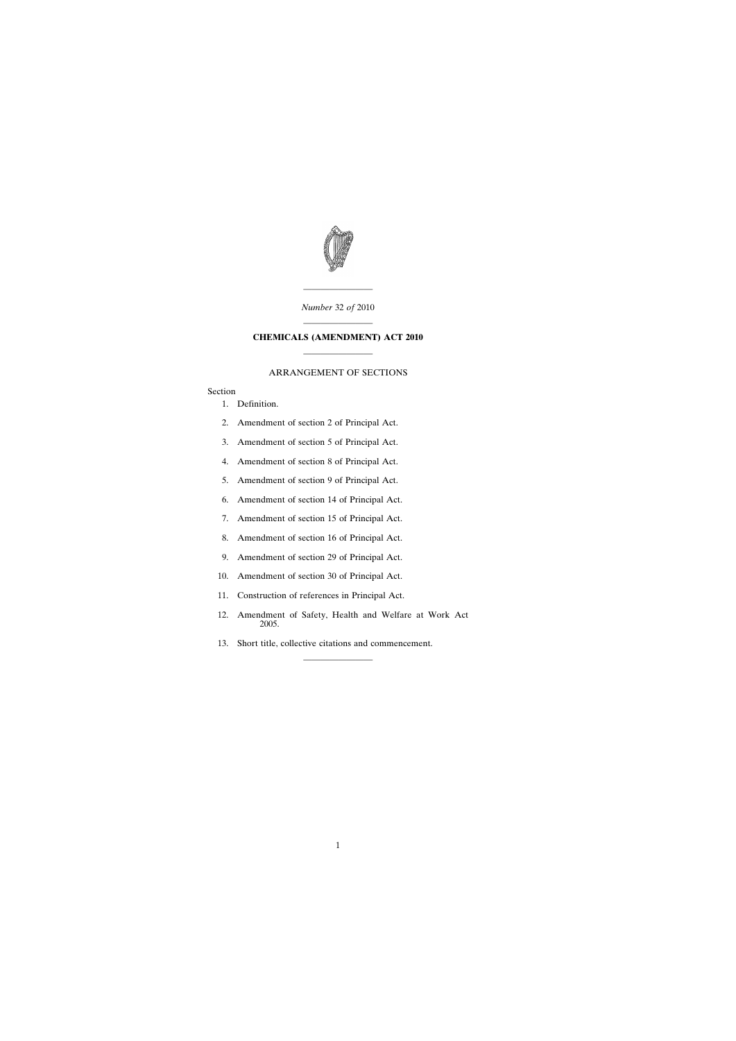

———————— *Number* 32 *of* 2010

# ———————— **CHEMICALS (AMENDMENT) ACT 2010** ————————

#### ARRANGEMENT OF SECTIONS

Section

- [1. Definition.](#page-2-0)
- [2. Amendment of section 2 of Principal Act.](#page-2-0)
- [3. Amendment of section 5 of Principal Act.](#page-3-0)
- [4. Amendment of section 8 of Principal Act.](#page-4-0)
- [5. Amendment of section 9 of Principal Act.](#page-4-0)
- [6. Amendment of section 14 of Principal Act.](#page-4-0)
- [7. Amendment of section 15 of Principal Act.](#page-5-0)
- [8. Amendment of section 16 of Principal Act.](#page-6-0)
- [9. Amendment of section 29 of Principal Act.](#page-6-0)
- [10. Amendment of section 30 of Principal Act.](#page-6-0)
- [11. Construction of references in Principal Act.](#page-6-0)
- [12. Amendment of Safety, Health and Welfare at Work Act](#page-7-0) 2005.

————————

[13. Short title, collective citations and commencement.](#page-8-0)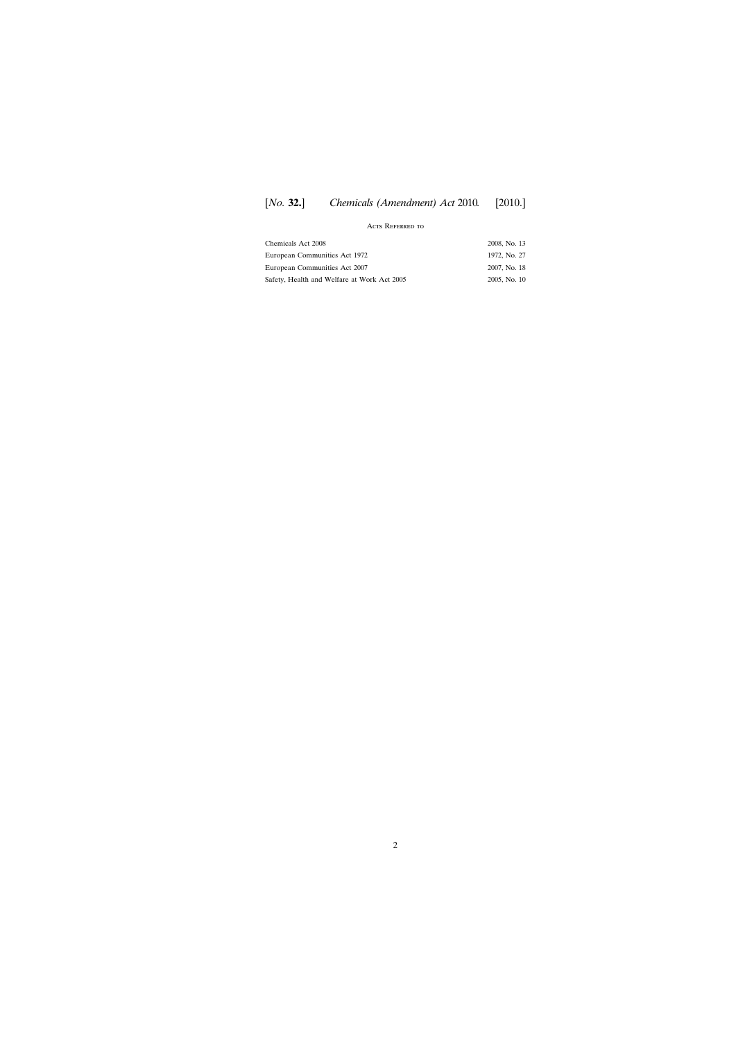# [*No.* **32.**] [2010.] *Chemicals (Amendment) Act* 2010*.*

## Acts Referred to

| Chemicals Act 2008                          | 2008. No. 13 |
|---------------------------------------------|--------------|
| European Communities Act 1972               | 1972, No. 27 |
| European Communities Act 2007               | 2007. No. 18 |
| Safety, Health and Welfare at Work Act 2005 | 2005, No. 10 |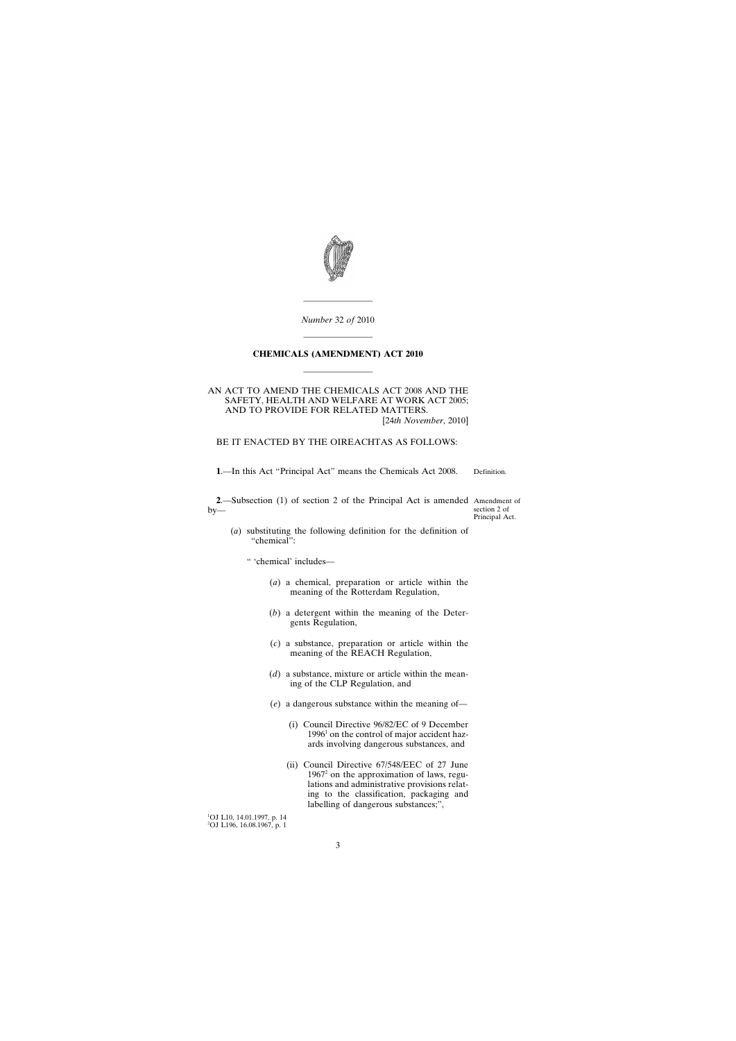<span id="page-2-0"></span>

*Number* 32 *of* 2010

————————

## ———————— **CHEMICALS (AMENDMENT) ACT 2010**

————————

#### AN ACT TO AMEND THE CHEMICALS ACT 2008 AND THE SAFETY, HEALTH AND WELFARE AT WORK ACT 2005; AND TO PROVIDE FOR RELATED MATTERS. [24*th November*, 2010]

## BE IT ENACTED BY THE OIREACHTAS AS FOLLOWS:

**1**.—In this Act "Principal Act" means the Chemicals Act 2008. Definition.

**2**.—Subsection (1) of section 2 of the Principal Act is amended Amendment of  $by-$ 

section 2 of Principal Act.

(*a*) substituting the following definition for the definition of "chemical":

" 'chemical' includes—

- (*a*) a chemical, preparation or article within the meaning of the Rotterdam Regulation,
- (*b*) a detergent within the meaning of the Detergents Regulation,
- (*c*) a substance, preparation or article within the meaning of the REACH Regulation,
- (*d*) a substance, mixture or article within the meaning of the CLP Regulation, and
- (*e*) a dangerous substance within the meaning of—
	- (i) Council Directive 96/82/EC of 9 December  $1996<sup>1</sup>$  on the control of major accident hazards involving dangerous substances, and
	- (ii) Council Directive 67/548/EEC of 27 June  $1967<sup>2</sup>$  on the approximation of laws, regulations and administrative provisions relating to the classification, packaging and labelling of dangerous substances;",

1 OJ L10, 14.01.1997, p. 14 2 OJ L196, 16.08.1967, p. 1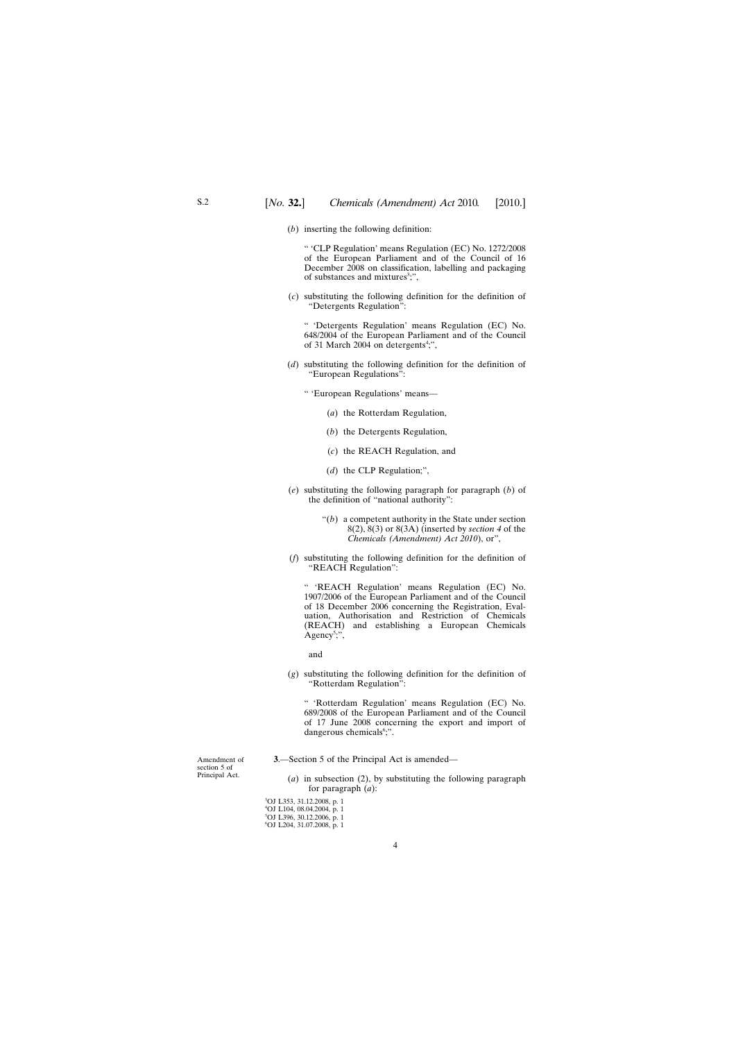<span id="page-3-0"></span>(*b*) inserting the following definition:

" 'CLP Regulation' means Regulation (EC) No. 1272/2008 of the European Parliament and of the Council of 16 December 2008 on classification, labelling and packaging of substances and mixtures<sup>3</sup>;",

(*c*) substituting the following definition for the definition of "Detergents Regulation":

" 'Detergents Regulation' means Regulation (EC) No. 648/2004 of the European Parliament and of the Council of 31 March 2004 on detergents<sup>4</sup>;",

- (*d*) substituting the following definition for the definition of "European Regulations":
	- " 'European Regulations' means—
		- (*a*) the Rotterdam Regulation,
		- (*b*) the Detergents Regulation,
		- (*c*) the REACH Regulation, and
		- (*d*) the CLP Regulation;",
- (*e*) substituting the following paragraph for paragraph (*b*) of the definition of "national authority":
	- " $(b)$  a competent authority in the State under section 8(2), 8(3) or 8(3A) (inserted by *section 4* of the *Chemicals (Amendment) Act 2010*), or",
- (*f*) substituting the following definition for the definition of "REACH Regulation":

" 'REACH Regulation' means Regulation (EC) No. 1907/2006 of the European Parliament and of the Council of 18 December 2006 concerning the Registration, Evaluation, Authorisation and Restriction of Chemicals (REACH) and establishing a European Chemicals Agency<sup>5</sup>;",

and

(*g*) substituting the following definition for the definition of "Rotterdam Regulation":

" 'Rotterdam Regulation' means Regulation (EC) No. 689/2008 of the European Parliament and of the Council of 17 June 2008 concerning the export and import of dangerous chemicals<sup>6</sup>;".

**3**.—Section 5 of the Principal Act is amended—

- (*a*) in subsection (2), by substituting the following paragraph for paragraph (*a*):
- 3 OJ L353, 31.12.2008, p. 1 4 OJ L104, 08.04.2004, p. 1 5 OJ L396, 30.12.2006, p. 1 6 OJ L204, 31.07.2008, p. 1

Amendment of section 5 of Principal Act.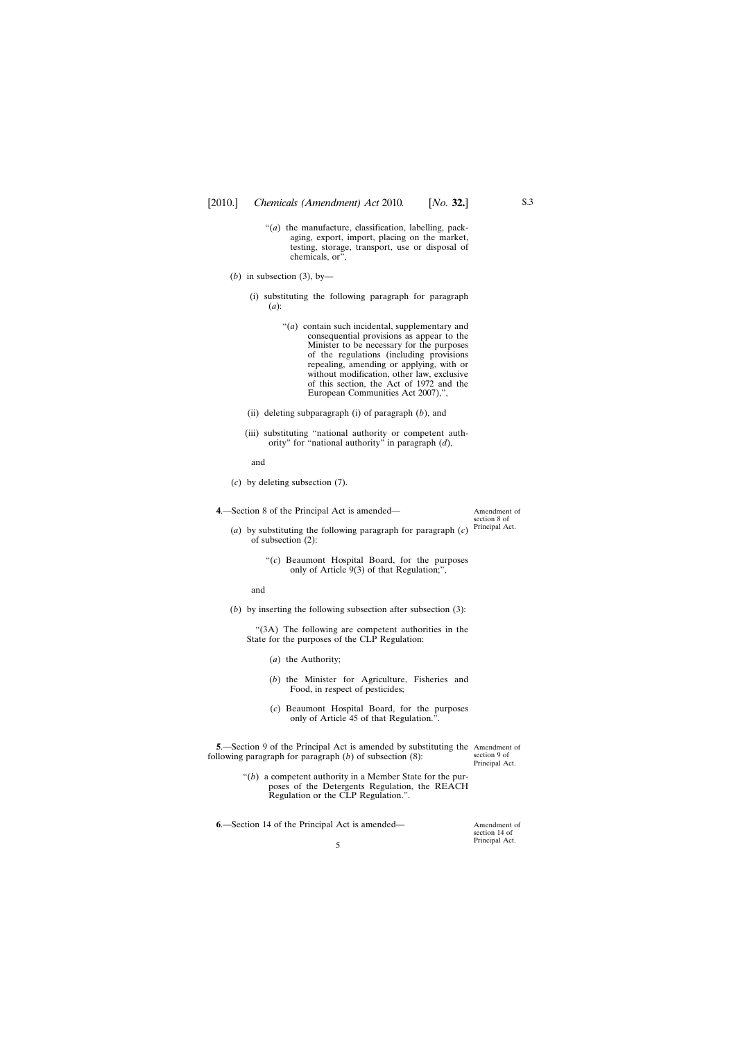- <span id="page-4-0"></span>"(*a*) the manufacture, classification, labelling, packaging, export, import, placing on the market, testing, storage, transport, use or disposal of chemicals, or",
- (*b*) in subsection (3), by-
	- (i) substituting the following paragraph for paragraph (*a*):
		- "(*a*) contain such incidental, supplementary and consequential provisions as appear to the Minister to be necessary for the purposes of the regulations (including provisions repealing, amending or applying, with or without modification, other law, exclusive of this section, the Act of 1972 and the European Communities Act 2007),",
	- (ii) deleting subparagraph (i) of paragraph (*b*), and
	- (iii) substituting "national authority or competent authority" for "national authority" in paragraph (*d*),

and

(*c*) by deleting subsection (7).

**4**.—Section 8 of the Principal Act is amended—

Amendment of section 8 of Principal Act.

- (*a*) by substituting the following paragraph for paragraph (*c*) of subsection (2):
	- "(*c*) Beaumont Hospital Board, for the purposes only of Article 9(3) of that Regulation;",

and

(*b*) by inserting the following subsection after subsection (3):

"(3A) The following are competent authorities in the State for the purposes of the CLP Regulation:

- (*a*) the Authority;
- (*b*) the Minister for Agriculture, Fisheries and Food, in respect of pesticides;
- (*c*) Beaumont Hospital Board, for the purposes only of Article 45 of that Regulation.".

**5**.—Section 9 of the Principal Act is amended by substituting the Amendment of following paragraph for paragraph (*b*) of subsection (8):

- section 9 of Principal Act.
- "(*b*) a competent authority in a Member State for the purposes of the Detergents Regulation, the REACH Regulation or the CLP Regulation.".

**6**.—Section 14 of the Principal Act is amended—

Amendment of section 14 of Principal Act.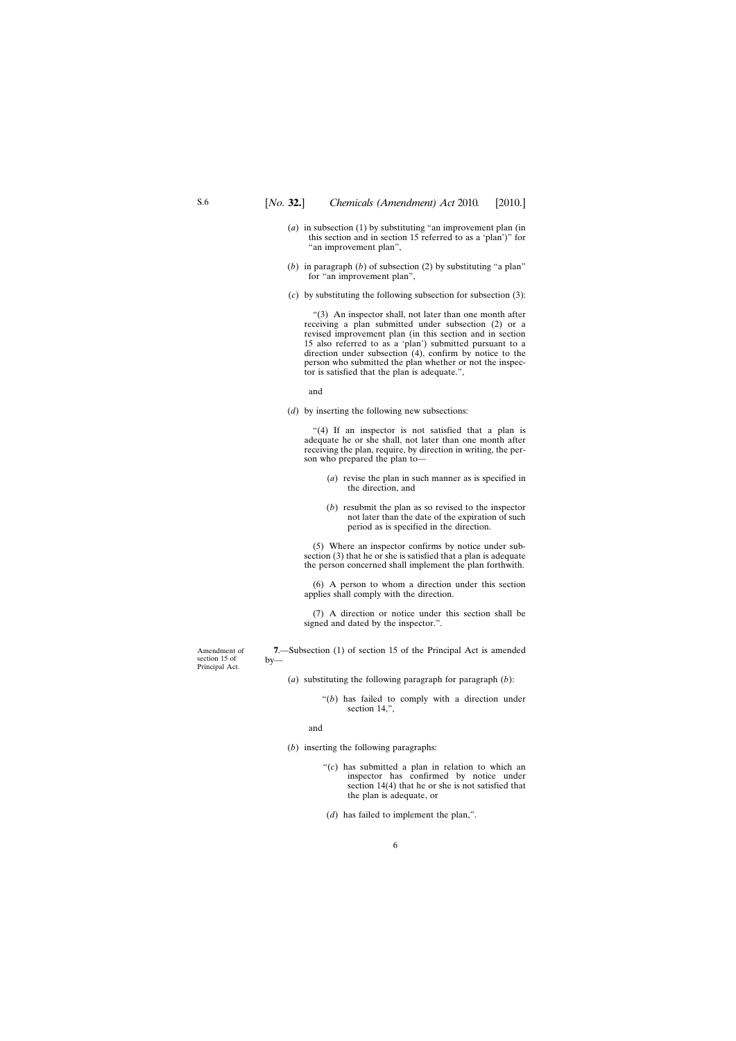- <span id="page-5-0"></span>(*a*) in subsection (1) by substituting "an improvement plan (in this section and in section 15 referred to as a 'plan')" for "an improvement plan",
- (*b*) in paragraph (*b*) of subsection (2) by substituting "a plan" for "an improvement plan",
- (*c*) by substituting the following subsection for subsection (3):

"(3) An inspector shall, not later than one month after receiving a plan submitted under subsection (2) or a revised improvement plan (in this section and in section 15 also referred to as a 'plan') submitted pursuant to a direction under subsection (4), confirm by notice to the person who submitted the plan whether or not the inspector is satisfied that the plan is adequate.",

and

(*d*) by inserting the following new subsections:

"(4) If an inspector is not satisfied that a plan is adequate he or she shall, not later than one month after receiving the plan, require, by direction in writing, the person who prepared the plan to—

- (*a*) revise the plan in such manner as is specified in the direction, and
- (*b*) resubmit the plan as so revised to the inspector not later than the date of the expiration of such period as is specified in the direction.

(5) Where an inspector confirms by notice under subsection (3) that he or she is satisfied that a plan is adequate the person concerned shall implement the plan forthwith.

(6) A person to whom a direction under this section applies shall comply with the direction.

(7) A direction or notice under this section shall be signed and dated by the inspector.".

**7**.—Subsection (1) of section 15 of the Principal Act is amended by—

- (*a*) substituting the following paragraph for paragraph (*b*):
	- "(*b*) has failed to comply with a direction under section 14,",

and

- (*b*) inserting the following paragraphs:
	- "(*c*) has submitted a plan in relation to which an inspector has confirmed by notice under section 14(4) that he or she is not satisfied that the plan is adequate, or
	- (*d*) has failed to implement the plan,".

Amendment of section 15 of Principal Act.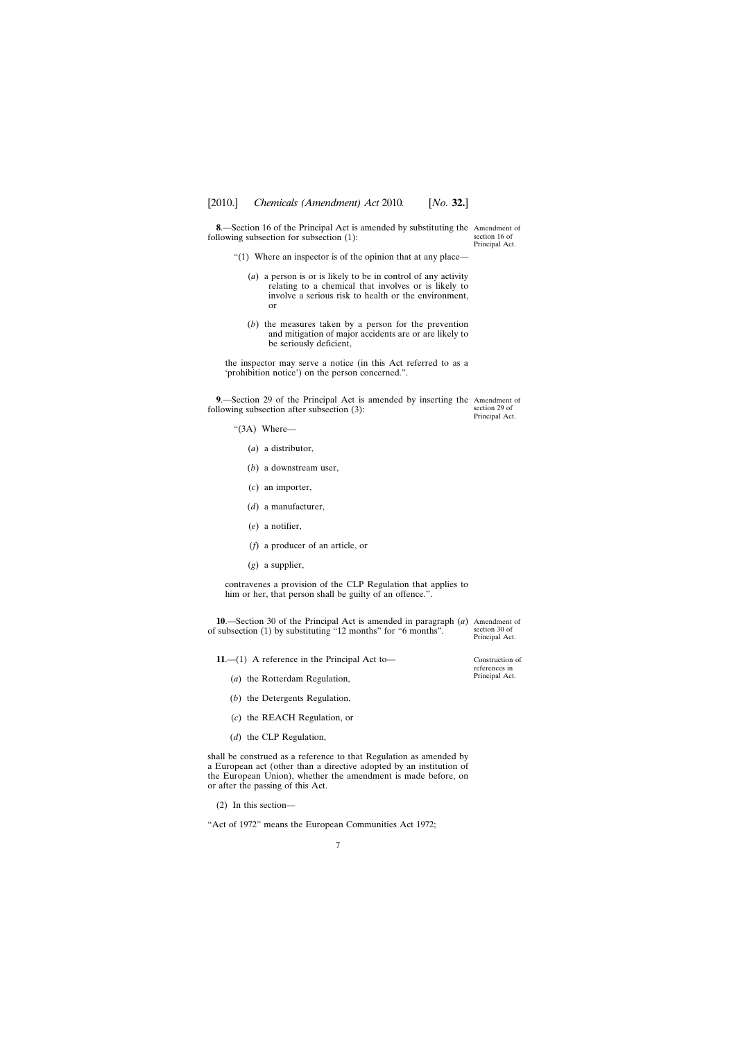<span id="page-6-0"></span>**8**.—Section 16 of the Principal Act is amended by substituting the Amendment of following subsection for subsection (1):

section 16 of Principal Act.

- "(1) Where an inspector is of the opinion that at any place—
	- (*a*) a person is or is likely to be in control of any activity relating to a chemical that involves or is likely to involve a serious risk to health or the environment, or
	- (*b*) the measures taken by a person for the prevention and mitigation of major accidents are or are likely to be seriously deficient,

the inspector may serve a notice (in this Act referred to as a 'prohibition notice') on the person concerned.".

**9**.—Section 29 of the Principal Act is amended by inserting the Amendment of following subsection after subsection (3): section 29 of Principal Act.

- "(3A) Where—
	- (*a*) a distributor,
	- (*b*) a downstream user,
	- (*c*) an importer,
	- (*d*) a manufacturer,
	- (*e*) a notifier,
	- (*f*) a producer of an article, or
	- (*g*) a supplier,

contravenes a provision of the CLP Regulation that applies to him or her, that person shall be guilty of an offence.".

**10**.—Section 30 of the Principal Act is amended in paragraph (*a*) Amendment of of subsection (1) by substituting "12 months" for "6 months".

**11**.—(1) A reference in the Principal Act to—

- (*a*) the Rotterdam Regulation,
- (*b*) the Detergents Regulation,
- (*c*) the REACH Regulation, or
- (*d*) the CLP Regulation,

shall be construed as a reference to that Regulation as amended by a European act (other than a directive adopted by an institution of the European Union), whether the amendment is made before, on or after the passing of this Act.

(2) In this section—

"Act of 1972" means the European Communities Act 1972;

section 30 of Principal Act.

Construction of references in Principal Act.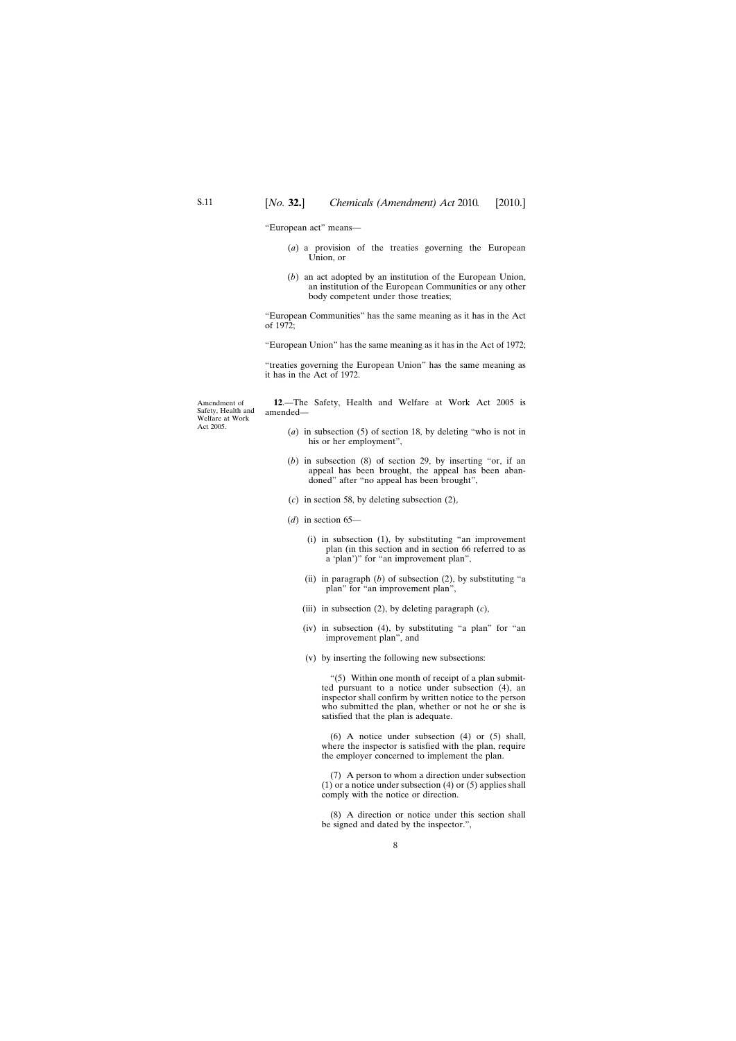<span id="page-7-0"></span>"European act" means—

- (*a*) a provision of the treaties governing the European Union, or
- (*b*) an act adopted by an institution of the European Union, an institution of the European Communities or any other body competent under those treaties;

"European Communities" has the same meaning as it has in the Act of 1972;

"European Union" has the same meaning as it has in the Act of 1972;

"treaties governing the European Union" has the same meaning as it has in the Act of 1972.

Amendment of Safety, Health and Welfare at Work Act 2005.

**12**.—The Safety, Health and Welfare at Work Act 2005 is amended—

- (*a*) in subsection (5) of section 18, by deleting "who is not in his or her employment",
- (*b*) in subsection (8) of section 29, by inserting "or, if an appeal has been brought, the appeal has been abandoned" after "no appeal has been brought",
- (*c*) in section 58, by deleting subsection (2),
- (*d*) in section 65—
	- (i) in subsection (1), by substituting "an improvement plan (in this section and in section 66 referred to as a 'plan')" for "an improvement plan",
	- (ii) in paragraph  $(b)$  of subsection  $(2)$ , by substituting "a plan" for "an improvement plan",
	- (iii) in subsection (2), by deleting paragraph (*c*),
	- (iv) in subsection (4), by substituting "a plan" for "an improvement plan", and
	- (v) by inserting the following new subsections:

"(5) Within one month of receipt of a plan submitted pursuant to a notice under subsection (4), an inspector shall confirm by written notice to the person who submitted the plan, whether or not he or she is satisfied that the plan is adequate.

(6) A notice under subsection (4) or (5) shall, where the inspector is satisfied with the plan, require the employer concerned to implement the plan.

(7) A person to whom a direction under subsection  $(1)$  or a notice under subsection  $(4)$  or  $(5)$  applies shall comply with the notice or direction.

(8) A direction or notice under this section shall be signed and dated by the inspector.",